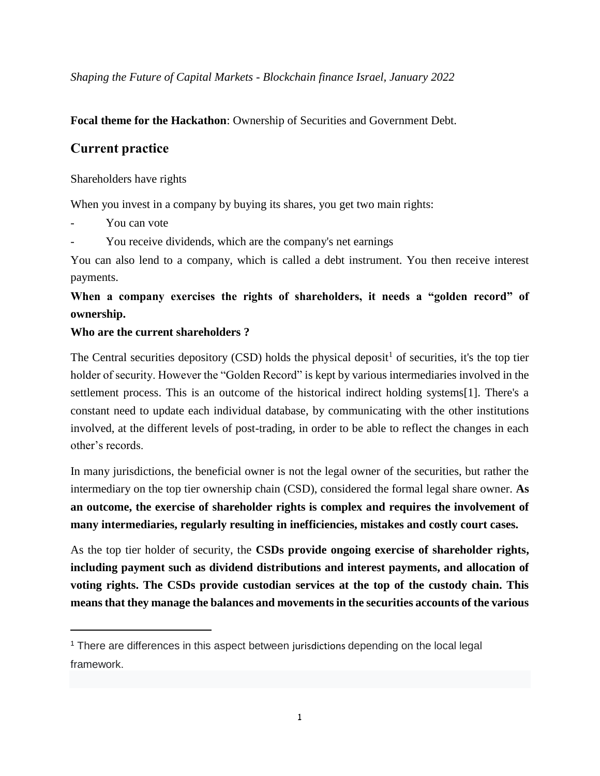*Shaping the Future of Capital Markets - Blockchain finance Israel, January 2022* 

#### **Focal theme for the Hackathon**: Ownership of Securities and Government Debt.

### **Current practice**

#### Shareholders have rights

When you invest in a company by buying its shares, you get two main rights:

You can vote

 $\overline{a}$ 

You receive dividends, which are the company's net earnings

You can also lend to a company, which is called a debt instrument. You then receive interest payments.

## **When a company exercises the rights of shareholders, it needs a "golden record" of ownership.**

#### **Who are the current shareholders ?**

The Central securities depository (CSD) holds the physical deposit<sup>1</sup> of securities, it's the top tier holder of security. However the "Golden Record" is kept by various intermediaries involved in the settlement process. This is an outcome of the historical indirect holding systems[1]. There's a constant need to update each individual database, by communicating with the other institutions involved, at the different levels of post-trading, in order to be able to reflect the changes in each other's records.

In many jurisdictions, the beneficial owner is not the legal owner of the securities, but rather the intermediary on the top tier ownership chain (CSD), considered the formal legal share owner. **As an outcome, the exercise of shareholder rights is complex and requires the involvement of many intermediaries, regularly resulting in inefficiencies, mistakes and costly court cases.**

As the top tier holder of security, the **CSDs provide ongoing exercise of shareholder rights, including payment such as dividend distributions and interest payments, and allocation of voting rights. The CSDs provide custodian services at the top of the custody chain. This means that they manage the balances and movements in the securities accounts of the various** 

<sup>&</sup>lt;sup>1</sup> There are differences in this aspect between jurisdictions depending on the local legal framework.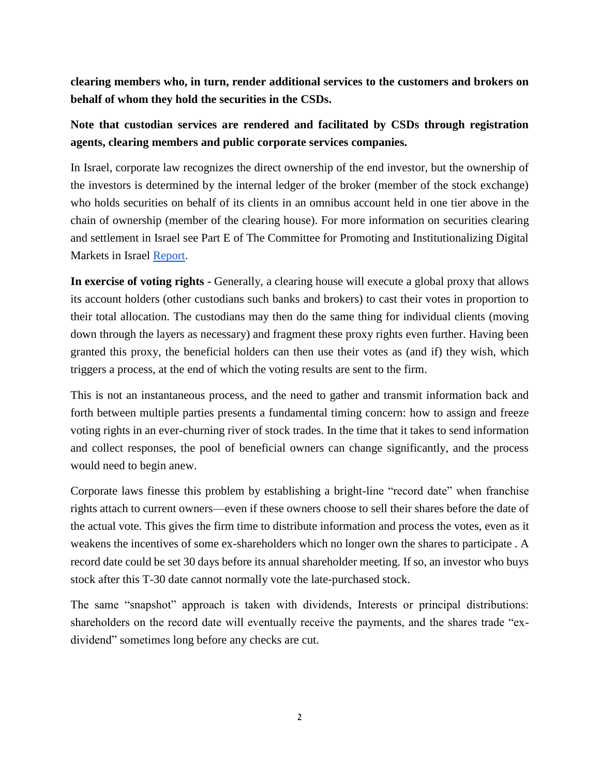**clearing members who, in turn, render additional services to the customers and brokers on behalf of whom they hold the securities in the CSDs.**

# **Note that custodian services are rendered and facilitated by CSDs through registration agents, clearing members and public corporate services companies.**

In Israel, corporate law recognizes the direct ownership of the end investor, but the ownership of the investors is determined by the internal ledger of the broker (member of the stock exchange) who holds securities on behalf of its clients in an omnibus account held in one tier above in the chain of ownership (member of the clearing house). For more information on securities clearing and settlement in Israel see Part E of The Committee for Promoting and Institutionalizing Digital Markets in Israel Report.

**In exercise of voting rights -** Generally, a clearing house will execute a global proxy that allows its account holders (other custodians such banks and brokers) to cast their votes in proportion to their total allocation. The custodians may then do the same thing for individual clients (moving down through the layers as necessary) and fragment these proxy rights even further. Having been granted this proxy, the beneficial holders can then use their votes as (and if) they wish, which triggers a process, at the end of which the voting results are sent to the firm.

This is not an instantaneous process, and the need to gather and transmit information back and forth between multiple parties presents a fundamental timing concern: how to assign and freeze voting rights in an ever-churning river of stock trades. In the time that it takes to send information and collect responses, the pool of beneficial owners can change significantly, and the process would need to begin anew.

Corporate laws finesse this problem by establishing a bright-line "record date" when franchise rights attach to current owners—even if these owners choose to sell their shares before the date of the actual vote. This gives the firm time to distribute information and process the votes, even as it weakens the incentives of some ex-shareholders which no longer own the shares to participate . A record date could be set 30 days before its annual shareholder meeting. If so, an investor who buys stock after this T-30 date cannot normally vote the late-purchased stock.

The same "snapshot" approach is taken with dividends, Interests or principal distributions: shareholders on the record date will eventually receive the payments, and the shares trade "exdividend" sometimes long before any checks are cut.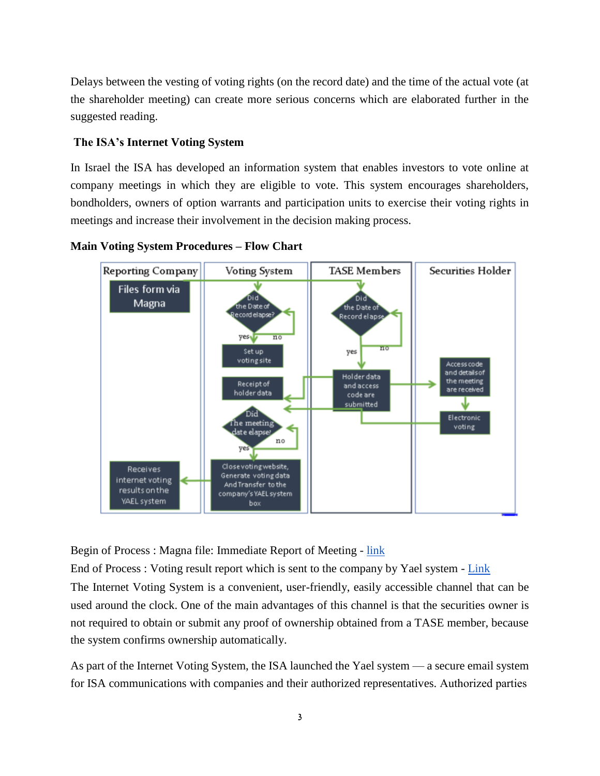Delays between the vesting of voting rights (on the record date) and the time of the actual vote (at the shareholder meeting) can create more serious concerns which are elaborated further in the suggested reading.

#### **The ISA's Internet Voting System**

In Israel the ISA has developed an information system that enables investors to vote online at company meetings in which they are eligible to vote. This system encourages shareholders, bondholders, owners of option warrants and participation units to exercise their voting rights in meetings and increase their involvement in the decision making process.





Begin of Process : Magna file: Immediate Report of Meeting - link

End of Process : Voting result report which is sent to the company by Yael system - Link

The Internet Voting System is a convenient, user-friendly, easily accessible channel that can be used around the clock. One of the main advantages of this channel is that the securities owner is not required to obtain or submit any proof of ownership obtained from a TASE member, because the system confirms ownership automatically.

As part of the Internet Voting System, the ISA launched the Yael system — a secure email system for ISA communications with companies and their authorized representatives. Authorized parties